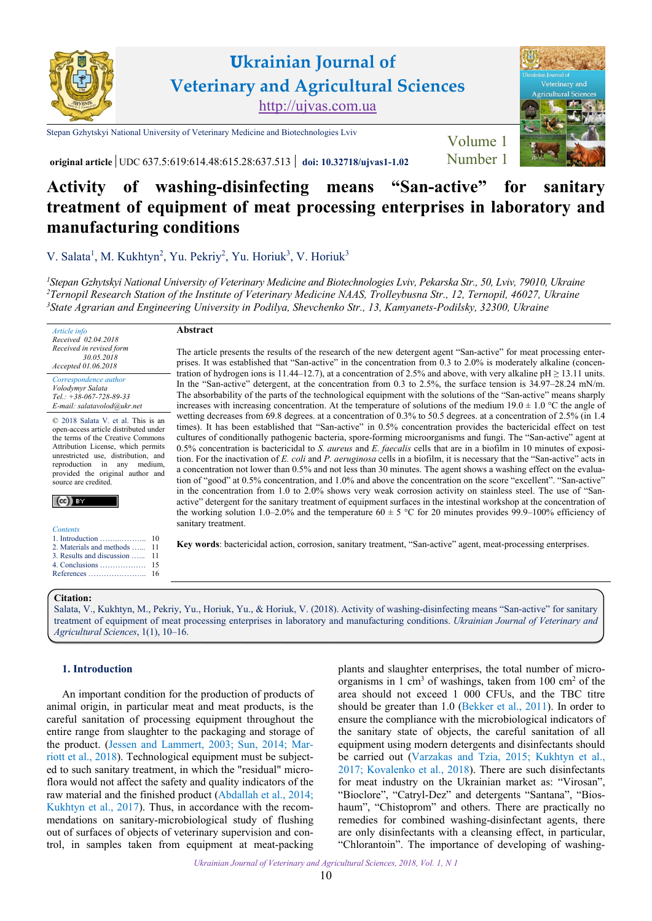

**Ukrainian Journal of Veterinary and Agricultural Sciences** <http://ujvas.com.ua>

[Stepan Gzhytskyi National University of Veterinary Medicine and Biotechnologies Lviv](https://lvet.edu.ua)



Volume 1

**original article** UDC 637.5:619:614.48:615.28:637.513 **doi: 10.32718[/ujvas1-1.02](https://doi.org/10.32718/ujvas1-1.02)** [Number 1](https://ujvas.com.ua/index.php/journal/issue/view/1)

# **Activity of washing-disinfecting means "San-active" for sanitary treatment of equipment of meat processing enterprises in laboratory and manufacturing conditions**

[V. Salata](http://orcid.org/0000-0002-9713-0746)<sup>1</sup>, [M. Kukhtyn](https://orcid.org/0000-0002-0195-0767)<sup>2</sup>, [Yu. Pekriy](http://orcid.org/0000-0001-8599-4857)<sup>2</sup>, [Yu. Horiuk](http://orcid.org/0000-0002-7162-8992)<sup>3</sup>, [V. Horiuk](http://orcid.org/0000-0002-1633-7287)<sup>3</sup>

*1 [Stepan Gzhytskyi National University of Veterinary Medicine and Biotechnologies Lviv, Pekarska Str., 50, Lviv, 79010, Ukraine](https://lvet.edu.ua) 2 [Ternopil Research Station of the Institute of Veterinary Medicine NAAS, Trolleybusna Str., 12, Ternopil, 46027, Ukraine](http://ivm.kiev.ua/structure-2/depart/laboratoriya-ternopil.html) [3](http://ivm.kiev.ua/structure-2/depart/laboratoriya-ternopil.html) [State Agrarian and Engineering University in Podilya, Shevchenko Str., 13, Kamyanets-Podilsky, 32300, Ukraine](http://www.pdatu.edu.ua)* 

#### *Article info Received 02.04.2018 Received in revised form 30.05.2018 Accepted 01.06.2018*

Correspondence author *[Volodymyr Salata](https://scholar.google.com.ua/citations?user=-6RW7hsAAAAJ&hl=ru) Tel.: +38-067-728-89-33 E-mail: salatavolod@ukr.net*

© 2018 Salata V. et al. This is an open-access article distributed under the terms of the Creative Commons Attribution License, which permits unrestricted use, distribution, and reproduction in any medium, provided the original author and source are credited.

# $(cc)$  BY

| 2. Materials and methods  11  |
|-------------------------------|
| 3. Results and discussion  11 |
|                               |
|                               |
|                               |

# **Abstract**

The article presents the results of the research of the new detergent agent "San-active" for meat processing enterprises. It was established that "San-active" in the concentration from 0.3 to 2.0% is moderately alkaline (concentration of hydrogen ions is 11.44–12.7), at a concentration of 2.5% and above, with very alkaline  $pH \ge 13.11$  units. In the "San-active" detergent, at the concentration from 0.3 to 2.5%, the surface tension is 34.97–28.24 mN/m. The absorbability of the parts of the technological equipment with the solutions of the "San-active" means sharply increases with increasing concentration. At the temperature of solutions of the medium  $19.0 \pm 1.0$  °C the angle of wetting decreases from 69.8 degrees. at a concentration of 0.3% to 50.5 degrees. at a concentration of 2.5% (in 1.4 times). It has been established that "San-active" in 0.5% concentration provides the bactericidal effect on test cultures of conditionally pathogenic bacteria, spore-forming microorganisms and fungi. The "San-active" agent at 0.5% concentration is bactericidal to *S. aureus* and *E. faecalis* cells that are in a biofilm in 10 minutes of exposition. For the inactivation of *E. coli* and *P. aeruginosa* cells in a biofilm, it is necessary that the "San-active" acts in a concentration not lower than 0.5% and not less than 30 minutes. The agent shows a washing effect on the evaluation of "good" at 0.5% concentration, and 1.0% and above the concentration on the score "excellent". "San-active" in the concentration from 1.0 to 2.0% shows very weak corrosion activity on stainless steel. The use of "Sanactive" detergent for the sanitary treatment of equipment surfaces in the intestinal workshop at the concentration of the working solution 1.0–2.0% and the temperature  $60 \pm 5$  °C for 20 minutes provides 99.9–100% efficiency of sanitary treatment.

**Key words**: bactericidal action, corrosion, sanitary treatment, "San-active" agent, meat-processing enterprises.

## **Citation:**

[Salata, V., Kukhtyn, M., Pekriy, Yu., Horiuk, Yu., & Horiuk, V. \(2018\). Activity of washing-disinfecting means "San-active" for sanitary](https://doi.org/10.32718/ujvas1-1.02)  treatment of equipment of meat processing enterprises in laboratory and manufacturing conditions. *Ukrainian Journal of Veterinary and Agricultural Sciences*, 1(1), 10–16.

# **1. Introduction**

An important condition for the production of products of animal origin, in particular meat and meat products, is the careful sanitation of processing equipment throughout the entire range from slaughter to the packaging and storage of the product. [\(Jessen and Lammert, 2003;](#page-6-0) [Sun, 2014;](#page-6-0) [Mar](#page-6-0)[riott et al., 2018\)](#page-6-0). Technological equipment must be subjected to such sanitary treatment, in which the "residual" microflora would not affect the safety and quality indicators of the raw material and the finished product [\(Abdallah et al., 2014;](#page-6-0) [Kukhtyn et al., 2017\)](#page-6-0). Thus, in accordance with the recommendations on sanitary-microbiological study of flushing out of surfaces of objects of veterinary supervision and control, in samples taken from equipment at meat-packing

plants and slaughter enterprises, the total number of microorganisms in 1 cm<sup>3</sup> of washings, taken from 100 cm<sup>2</sup> of the area should not exceed 1 000 CFUs, and the TBC titre should be greater than 1.0 ([Bekker et al., 2011\)](#page-6-0). In order to ensure the compliance with the microbiological indicators of the sanitary state of objects, the careful sanitation of all equipment using modern detergents and disinfectants should be carried out [\(Varzakas and Tzia, 2015;](#page-6-0) [Kukhtyn et al.,](#page-6-0)  [2017](#page-6-0); [Kovalenko et al., 2018\)](#page-6-0). There are such disinfectants for meat industry on the Ukrainian market as: "Virosan", "Bioclore", "Catryl-Dez" and detergents "Santana", "Bioshaum", "Chistoprom" and others. There are practically no remedies for combined washing-disinfectant agents, there are only disinfectants with a cleansing effect, in particular, "Chlorantoin". The importance of developing of washing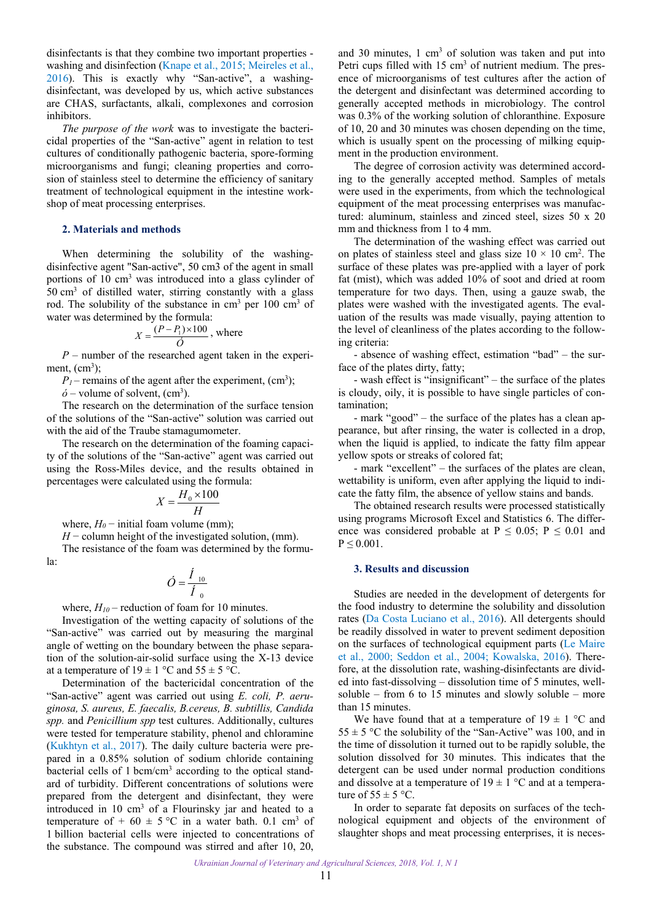<span id="page-1-0"></span>disinfectants is that they combine two important properties washing and disinfection [\(Knape et al., 2015;](#page-6-0) [Meireles et al.,](#page-6-0) [2016\)](#page-6-0). This is exactly why "San-active", a washingdisinfectant, was developed by us, which active substances are CHAS, surfactants, alkali, complexones and corrosion inhibitors.

*The purpose of the work* was to investigate the bactericidal properties of the "San-active" agent in relation to test cultures of conditionally pathogenic bacteria, spore-forming microorganisms and fungi; cleaning properties and corrosion of stainless steel to determine the efficiency of sanitary treatment of technological equipment in the intestine workshop of meat processing enterprises.

#### **2. Materials and methods**

When determining the solubility of the washingdisinfective agent "San-active", 50 cm3 of the agent in small portions of 10 cm<sup>3</sup> was introduced into a glass cylinder of 50 cm3 of distilled water, stirring constantly with a glass rod. The solubility of the substance in  $\text{cm}^3$  per 100  $\text{cm}^3$  of water was determined by the formula:

$$
X = \frac{(P - P_1) \times 100}{\dot{O}}
$$
, where

*P* – number of the researched agent taken in the experiment,  $(cm<sup>3</sup>)$ ;

 $P_1$  – remains of the agent after the experiment, (cm<sup>3</sup>);

 $\acute{o}$  – volume of solvent, (cm<sup>3</sup>).

The research on the determination of the surface tension of the solutions of the "San-active" solution was carried out with the aid of the Traube stamagumometer.

The research on the determination of the foaming capacity of the solutions of the "San-active" agent was carried out using the Ross-Miles device, and the results obtained in percentages were calculated using the formula:

$$
X = \frac{H_0 \times 100}{H}
$$

where,  $H_0$  – initial foam volume (mm);

*H* − column height of the investigated solution, (mm). The resistance of the foam was determined by the formula:

$$
\acute{O}=\frac{\acute{I}_{10}}{\acute{I}_{0}}
$$

where,  $H_{10}$  – reduction of foam for 10 minutes.

Investigation of the wetting capacity of solutions of the "San-active" was carried out by measuring the marginal angle of wetting on the boundary between the phase separation of the solution-air-solid surface using the X-13 device at a temperature of  $19 \pm 1$  °C and  $55 \pm 5$  °C.

Determination of the bactericidal concentration of the "San-active" agent was carried out using *E. coli, P. aeruginosa, S. aureus, E. faecalis, B.cereus, B. subtillis, Candida spp.* and *Penicillium spp* test cultures. Additionally, cultures were tested for temperature stability, phenol and chloramine ([Kukhtyn et al., 2017\)](#page-6-0). The daily culture bacteria were prepared in a 0.85% solution of sodium chloride containing bacterial cells of 1 bcm/cm<sup>3</sup> according to the optical standard of turbidity. Different concentrations of solutions were prepared from the detergent and disinfectant, they were introduced in  $10 \text{ cm}^3$  of a Flourinsky jar and heated to a temperature of  $+60 \pm 5$  °C in a water bath. 0.1 cm<sup>3</sup> of 1 billion bacterial cells were injected to concentrations of the substance. The compound was stirred and after 10, 20,

and 30 minutes,  $1 \text{ cm}^3$  of solution was taken and put into Petri cups filled with  $15 \text{ cm}^3$  of nutrient medium. The presence of microorganisms of test cultures after the action of the detergent and disinfectant was determined according to generally accepted methods in microbiology. The control was 0.3% of the working solution of chloranthine. Exposure of 10, 20 and 30 minutes was chosen depending on the time, which is usually spent on the processing of milking equipment in the production environment.

The degree of corrosion activity was determined according to the generally accepted method. Samples of metals were used in the experiments, from which the technological equipment of the meat processing enterprises was manufactured: aluminum, stainless and zinced steel, sizes 50 x 20 mm and thickness from 1 to 4 mm.

The determination of the washing effect was carried out on plates of stainless steel and glass size  $10 \times 10$  cm<sup>2</sup>. The surface of these plates was pre-applied with a layer of pork fat (mist), which was added 10% of soot and dried at room temperature for two days. Then, using a gauze swab, the plates were washed with the investigated agents. The evaluation of the results was made visually, paying attention to the level of cleanliness of the plates according to the following criteria:

- absence of washing effect, estimation "bad" – the surface of the plates dirty, fatty;

- wash effect is "insignificant" – the surface of the plates is cloudy, oily, it is possible to have single particles of contamination;

- mark "good" – the surface of the plates has a clean appearance, but after rinsing, the water is collected in a drop, when the liquid is applied, to indicate the fatty film appear yellow spots or streaks of colored fat;

- mark "excellent" – the surfaces of the plates are clean, wettability is uniform, even after applying the liquid to indicate the fatty film, the absence of yellow stains and bands.

The obtained research results were processed statistically using programs Microsoft Excel and Statistics 6. The difference was considered probable at  $P \le 0.05$ ;  $P \le 0.01$  and  $P \leq 0.001$ .

# **3. Results and discussion**

Studies are needed in the development of detergents for the food industry to determine the solubility and dissolution rates [\(Da Costa Luciano et al., 2016\)](#page-6-0). All detergents should be readily dissolved in water to prevent sediment deposition on the surfaces of technological equipment parts ([Le Maire](#page-6-0)  [et al., 2000](#page-6-0); [Seddon et al., 2004;](#page-6-0) [Kowalska, 2016](#page-6-0)). Therefore, at the dissolution rate, washing-disinfectants are divided into fast-dissolving – dissolution time of 5 minutes, wellsoluble – from 6 to 15 minutes and slowly soluble – more than 15 minutes.

We have found that at a temperature of  $19 \pm 1$  °C and  $55 \pm 5$  °C the solubility of the "San-Active" was 100, and in the time of dissolution it turned out to be rapidly soluble, the solution dissolved for 30 minutes. This indicates that the detergent can be used under normal production conditions and dissolve at a temperature of  $19 \pm 1$  °C and at a temperature of  $55 \pm 5$  °C.

In order to separate fat deposits on surfaces of the technological equipment and objects of the environment of slaughter shops and meat processing enterprises, it is neces-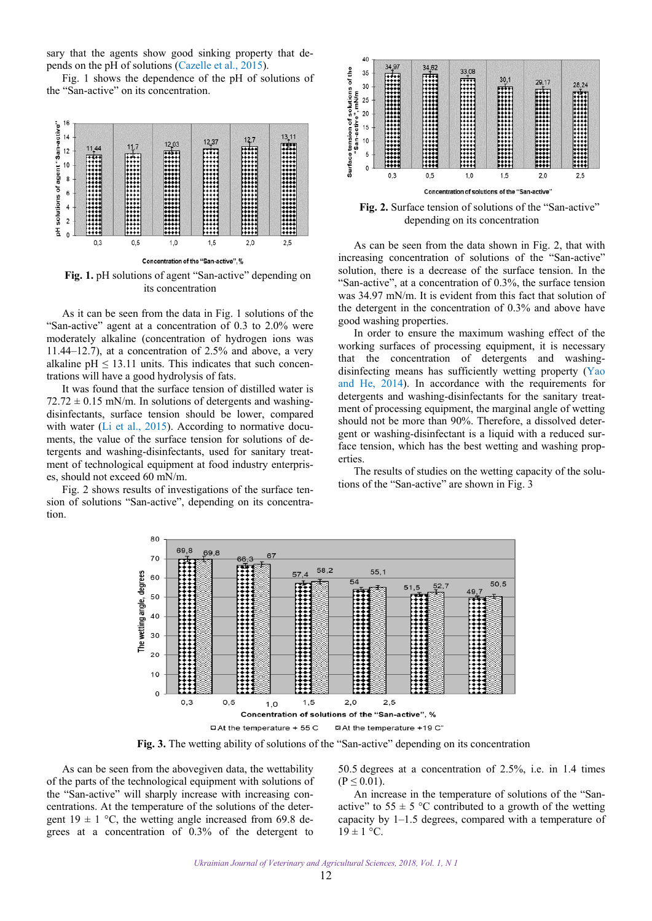sary that the agents show good sinking property that depends on the pH of solutions [\(Cazelle et al., 2015\)](#page-6-0).

Fig. 1 shows the dependence of the pH of solutions of the "San-active" on its concentration.



Fig. 1. pH solutions of agent "San-active" depending on its concentration

As it can be seen from the data in Fig. 1 solutions of the "San-active" agent at a concentration of 0.3 to 2.0% were moderately alkaline (concentration of hydrogen ions was 11.44–12.7), at a concentration of 2.5% and above, a very alkaline  $pH \le 13.11$  units. This indicates that such concentrations will have a good hydrolysis of fats.

It was found that the surface tension of distilled water is  $72.72 \pm 0.15$  mN/m. In solutions of detergents and washingdisinfectants, surface tension should be lower, compared with water [\(Li et al., 2015](#page-6-0)). According to normative documents, the value of the surface tension for solutions of detergents and washing-disinfectants, used for sanitary treatment of technological equipment at food industry enterprises, should not exceed 60 mN/m.

Fig. 2 shows results of investigations of the surface tension of solutions "San-active", depending on its concentration.



**Fig. 2.** Surface tension of solutions of the "San-active" depending on its concentration

As can be seen from the data shown in Fig. 2, that with increasing concentration of solutions of the "San-active" solution, there is a decrease of the surface tension. In the "San-active", at a concentration of 0.3%, the surface tension was 34.97 mN/m. It is evident from this fact that solution of the detergent in the concentration of 0.3% and above have good washing properties.

In order to ensure the maximum washing effect of the working surfaces of processing equipment, it is necessary that the concentration of detergents and washingdisinfecting means has sufficiently wetting property [\(Yao](#page-6-0)  [and He, 2014](#page-6-0)). In accordance with the requirements for detergents and washing-disinfectants for the sanitary treatment of processing equipment, the marginal angle of wetting should not be more than 90%. Therefore, a dissolved detergent or washing-disinfectant is a liquid with a reduced surface tension, which has the best wetting and washing properties.

The results of studies on the wetting capacity of the solutions of the "San-active" are shown in Fig. 3



**Fig. 3.** The wetting ability of solutions of the "San-active" depending on its concentration

As can be seen from the abovegiven data, the wettability of the parts of the technological equipment with solutions of the "San-active" will sharply increase with increasing concentrations. At the temperature of the solutions of the detergent  $19 \pm 1$  °C, the wetting angle increased from 69.8 degrees at a concentration of 0.3% of the detergent to

50.5 degrees at a concentration of 2.5%, i.e. in 1.4 times  $(P \le 0.01)$ .

An increase in the temperature of solutions of the "Sanactive" to  $55 \pm 5$  °C contributed to a growth of the wetting capacity by 1–1.5 degrees, compared with a temperature of  $19 \pm 1$  °C.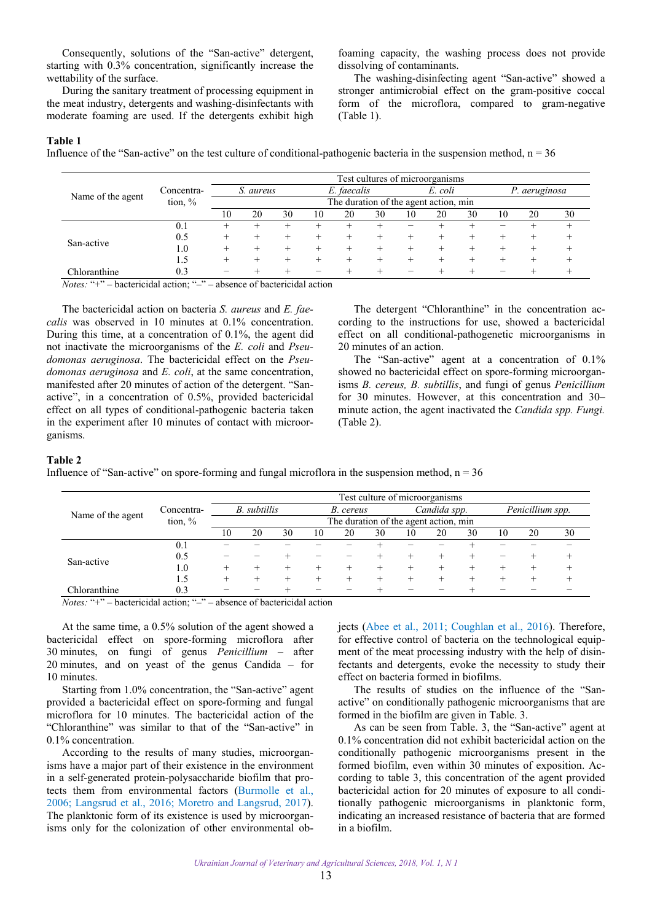Consequently, solutions of the "San-active" detergent, starting with 0.3% concentration, significantly increase the wettability of the surface.

During the sanitary treatment of processing equipment in the meat industry, detergents and washing-disinfectants with moderate foaming are used. If the detergents exhibit high foaming capacity, the washing process does not provide dissolving of contaminants.

The washing-disinfecting agent "San-active" showed a stronger antimicrobial effect on the gram-positive coccal form of the microflora, compared to gram-negative (Table 1).

# **Table 1**

Influence of the "San-active" on the test culture of conditional-pathogenic bacteria in the suspension method,  $n = 36$ 

|                   |            | Test cultures of microorganisms |                                       |    |    |             |    |    |         |    |    |               |       |
|-------------------|------------|---------------------------------|---------------------------------------|----|----|-------------|----|----|---------|----|----|---------------|-------|
|                   | Concentra- |                                 | S. aureus                             |    |    | E. faecalis |    |    | E. coli |    |    | P. aeruginosa |       |
| Name of the agent | tion, $%$  |                                 | The duration of the agent action, min |    |    |             |    |    |         |    |    |               |       |
|                   |            | 10                              | 20                                    | 30 | 10 | 20          | 30 | 10 | 20      | 30 | 10 | 20            | 30    |
|                   | 0.1        |                                 |                                       | +  |    |             |    |    |         |    |    | +             | $\pm$ |
| San-active        | 0.5        |                                 |                                       |    |    |             |    |    |         | +  |    |               |       |
|                   | 1.0        |                                 |                                       |    |    |             |    |    |         | +  |    |               |       |
|                   | 1.5        |                                 |                                       |    |    |             |    |    |         |    |    |               |       |
| Chloranthine      | 0.3        |                                 |                                       |    |    |             |    |    |         |    |    |               |       |

*Notes:* "+" – bactericidal action; "–" – absence of bactericidal action

The bactericidal action on bacteria *S. aureus* and *E. faecalis* was observed in 10 minutes at 0.1% concentration. During this time, at a concentration of 0.1%, the agent did not inactivate the microorganisms of the *E. coli* and *Pseudomonas aeruginosa*. The bactericidal effect on the *Pseudomonas aeruginosa* and *E. coli*, at the same concentration, manifested after 20 minutes of action of the detergent. "Sanactive", in a concentration of 0.5%, provided bactericidal effect on all types of conditional-pathogenic bacteria taken in the experiment after 10 minutes of contact with microorganisms.

The detergent "Chloranthine" in the concentration according to the instructions for use, showed a bactericidal effect on all conditional-pathogenetic microorganisms in 20 minutes of an action.

The "San-active" agent at a concentration of 0.1% showed no bactericidal effect on spore-forming microorganisms *B. cereus, B. subtillis*, and fungi of genus *Penicillium* for 30 minutes. However, at this concentration and 30– minute action, the agent inactivated the *Candida spp. Fungi.* (Table 2).

#### **Table 2**

Influence of "San-active" on spore-forming and fungal microflora in the suspension method,  $n = 36$ 

|                   |            | Test culture of microorganisms |                                       |    |    |           |    |    |              |    |    |                  |    |
|-------------------|------------|--------------------------------|---------------------------------------|----|----|-----------|----|----|--------------|----|----|------------------|----|
|                   | Concentra- |                                | B. subtillis                          |    |    | B. cereus |    |    | Candida spp. |    |    | Penicillium spp. |    |
| Name of the agent | tion, $%$  |                                | The duration of the agent action, min |    |    |           |    |    |              |    |    |                  |    |
|                   |            | 10                             | 20                                    | 30 | 10 | 20        | 30 | 10 | 20           | 30 | 10 | 20               | 30 |
|                   | 0.1        |                                |                                       |    |    |           |    |    |              |    |    |                  |    |
|                   | 0.5        |                                |                                       |    |    |           |    |    |              |    |    |                  |    |
| San-active        | $1.0\,$    | +                              |                                       |    |    |           |    |    |              |    |    |                  |    |
|                   | 1.5        |                                |                                       |    |    |           |    |    |              |    |    |                  |    |
| Chloranthine      | 0.3        |                                |                                       |    |    |           |    |    |              |    |    |                  |    |

*Notes:* "+" – bactericidal action; "–" – absence of bactericidal action

At the same time, a 0.5% solution of the agent showed a bactericidal effect on spore-forming microflora after 30 minutes, on fungi of genus *Penicillium* – after 20 minutes, and on yeast of the genus Candida – for 10 minutes.

Starting from 1.0% concentration, the "San-active" agent provided a bactericidal effect on spore-forming and fungal microflora for 10 minutes. The bactericidal action of the "Chloranthine" was similar to that of the "San-active" in 0.1% concentration.

According to the results of many studies, microorganisms have a major part of their existence in the environment in a self-generated protein-polysaccharide biofilm that protects them from environmental factors [\(Burmolle et al.,](#page-6-0) [2006;](#page-6-0) [Langsrud et al., 2016](#page-6-0); [Moretro and Langsrud, 2017](#page-6-0)). The planktonic form of its existence is used by microorganisms only for the colonization of other environmental objects [\(Abee et al., 2011;](#page-6-0) [Coughlan et al., 2016](#page-6-0)). Therefore, for effective control of bacteria on the technological equipment of the meat processing industry with the help of disinfectants and detergents, evoke the necessity to study their effect on bacteria formed in biofilms.

The results of studies on the influence of the "Sanactive" on conditionally pathogenic microorganisms that are formed in the biofilm are given in Table. 3.

As can be seen from Table. 3, the "San-active" agent at 0.1% concentration did not exhibit bactericidal action on the conditionally pathogenic microorganisms present in the formed biofilm, even within 30 minutes of exposition. According to table 3, this concentration of the agent provided bactericidal action for 20 minutes of exposure to all conditionally pathogenic microorganisms in planktonic form, indicating an increased resistance of bacteria that are formed in a biofilm.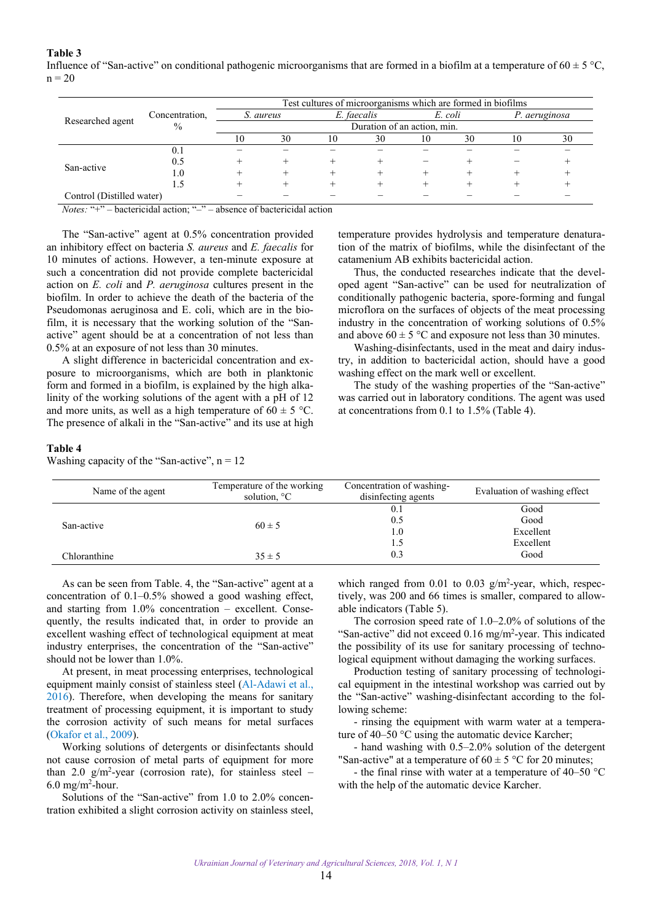# **Table 3**  Influence of "San-active" on conditional pathogenic microorganisms that are formed in a biofilm at a temperature of  $60 \pm 5$  °C,

| $n =$ | $\sim$<br>$ -$ |  |  |  |  |  |
|-------|----------------|--|--|--|--|--|
|       |                |  |  |  |  |  |

|                           |                | Test cultures of microorganisms which are formed in biofilms |           |    |                             |    |         |    |               |  |  |
|---------------------------|----------------|--------------------------------------------------------------|-----------|----|-----------------------------|----|---------|----|---------------|--|--|
|                           | Concentration, |                                                              | S. aureus |    | E. faecalis                 |    | E. coli |    | P. aeruginosa |  |  |
| Researched agent          | $\%$           |                                                              |           |    | Duration of an action, min. |    |         |    |               |  |  |
|                           |                | 10                                                           | 30        | 10 | 30                          | 10 | 30      | 10 | 30            |  |  |
|                           | 0.1            |                                                              |           |    |                             |    |         |    |               |  |  |
| San-active                | 0.5            |                                                              |           |    |                             |    |         |    |               |  |  |
|                           | $1.0\,$        |                                                              |           |    |                             |    |         |    |               |  |  |
|                           |                |                                                              |           |    |                             |    |         |    |               |  |  |
| Control (Distilled water) |                |                                                              |           |    |                             |    |         |    |               |  |  |

*Notes:* "+" – bactericidal action; "-" – absence of bactericidal action

The "San-active" agent at 0.5% concentration provided an inhibitory effect on bacteria *S. aureus* and *E. faecalis* for 10 minutes of actions. However, a ten-minute exposure at such a concentration did not provide complete bactericidal action on *E. coli* and *P. aeruginosa* cultures present in the biofilm. In order to achieve the death of the bacteria of the Pseudomonas aeruginosa and E. coli, which are in the biofilm, it is necessary that the working solution of the "Sanactive" agent should be at a concentration of not less than 0.5% at an exposure of not less than 30 minutes.

A slight difference in bactericidal concentration and exposure to microorganisms, which are both in planktonic form and formed in a biofilm, is explained by the high alkalinity of the working solutions of the agent with a pH of 12 and more units, as well as a high temperature of  $60 \pm 5$  °C. The presence of alkali in the "San-active" and its use at high

temperature provides hydrolysis and temperature denaturation of the matrix of biofilms, while the disinfectant of the catamenium AB exhibits bactericidal action.

Thus, the conducted researches indicate that the developed agent "San-active" can be used for neutralization of conditionally pathogenic bacteria, spore-forming and fungal microflora on the surfaces of objects of the meat processing industry in the concentration of working solutions of 0.5% and above  $60 \pm 5$  °C and exposure not less than 30 minutes.

Washing-disinfectants, used in the meat and dairy industry, in addition to bactericidal action, should have a good washing effect on the mark well or excellent.

The study of the washing properties of the "San-active" was carried out in laboratory conditions. The agent was used at concentrations from 0.1 to 1.5% (Table 4).

## **Table 4**

Washing capacity of the "San-active",  $n = 12$ 

| Name of the agent | Temperature of the working<br>solution, <sup>o</sup> C | Concentration of washing-<br>disinfecting agents | Evaluation of washing effect |  |  |
|-------------------|--------------------------------------------------------|--------------------------------------------------|------------------------------|--|--|
|                   |                                                        | 0.1                                              | Good                         |  |  |
| San-active        | $60 \pm 5$                                             | 0.5                                              | Good                         |  |  |
|                   |                                                        | 1.0                                              | Excellent                    |  |  |
|                   |                                                        | 1.5                                              | Excellent                    |  |  |
| Chloranthine      | $35 \pm 5$                                             | 0.3                                              | Good                         |  |  |

As can be seen from Table. 4, the "San-active" agent at a concentration of 0.1–0.5% showed a good washing effect, and starting from 1.0% concentration – excellent. Consequently, the results indicated that, in order to provide an excellent washing effect of technological equipment at meat industry enterprises, the concentration of the "San-active" should not be lower than 1.0%.

At present, in meat processing enterprises, technological equipment mainly consist of stainless steel [\(Al-Adawi et al.,](#page-6-0) [2016\)](#page-6-0). Therefore, when developing the means for sanitary treatment of processing equipment, it is important to study the corrosion activity of such means for metal surfaces ([Okafor et al., 2009](#page-6-0)).

Working solutions of detergents or disinfectants should not cause corrosion of metal parts of equipment for more than 2.0  $g/m^2$ -year (corrosion rate), for stainless steel –  $6.0$  mg/m<sup>2</sup>-hour.

Solutions of the "San-active" from 1.0 to 2.0% concentration exhibited a slight corrosion activity on stainless steel, which ranged from 0.01 to 0.03  $g/m^2$ -year, which, respectively, was 200 and 66 times is smaller, compared to allowable indicators (Table 5).

The corrosion speed rate of 1.0–2.0% of solutions of the "San-active" did not exceed  $0.16$  mg/m<sup>2</sup>-year. This indicated the possibility of its use for sanitary processing of technological equipment without damaging the working surfaces.

Production testing of sanitary processing of technological equipment in the intestinal workshop was carried out by the "San-active" washing-disinfectant according to the following scheme:

- rinsing the equipment with warm water at a temperature of 40–50 °С using the automatic device Karcher;

- hand washing with 0.5–2.0% solution of the detergent "San-active" at a temperature of  $60 \pm 5$  °C for 20 minutes;

- the final rinse with water at a temperature of 40–50 °С with the help of the automatic device Karcher.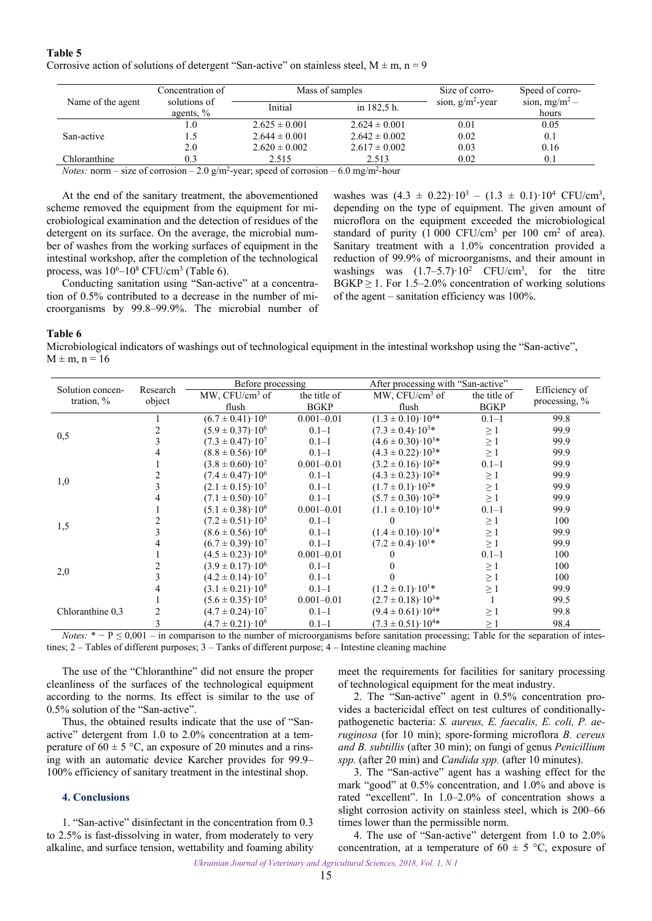<span id="page-5-0"></span>**Table 5**  Corrosive action of solutions of detergent "San-active" on stainless steel,  $M \pm m$ ,  $n = 9$ 

|                   | Concentration of             |                   | Mass of samples   | Size of corro-      | Speed of corro-           |
|-------------------|------------------------------|-------------------|-------------------|---------------------|---------------------------|
| Name of the agent | solutions of<br>agents, $\%$ | Initial           | in 182,5 h.       | sion, $g/m^2$ -year | sion, $mg/m^2$ –<br>hours |
|                   | 1.0                          | $2.625 \pm 0.001$ | $2.624 \pm 0.001$ | 0.01                | 0.05                      |
| San-active        |                              | $2.644 \pm 0.001$ | $2.642 \pm 0.002$ | 0.02                | 0.1                       |
|                   | 2.0                          | $2.620 \pm 0.002$ | $2.617 \pm 0.002$ | 0.03                | 0.16                      |
| Chloranthine      | 0.3                          | 2.515             | 2.513             | 0.02                | 0.1                       |

*Notes:* norm – size of corrosion – 2.0 g/m<sup>2</sup>-year; speed of corrosion – 6.0 mg/m<sup>2</sup>-hour

At the end of the sanitary treatment, the abovementioned scheme removed the equipment from the equipment for microbiological examination and the detection of residues of the detergent on its surface. On the average, the microbial number of washes from the working surfaces of equipment in the intestinal workshop, after the completion of the technological process, was  $10^6$ – $10^8$  CFU/cm<sup>3</sup> (Table 6).

Conducting sanitation using "San-active" at a concentration of 0.5% contributed to a decrease in the number of microorganisms by 99.8–99.9%. The microbial number of

washes was  $(4.3 \pm 0.22) \cdot 10^3 - (1.3 \pm 0.1) \cdot 10^4$  CFU/cm<sup>3</sup>, depending on the type of equipment. The given amount of microflora on the equipment exceeded the microbiological standard of purity  $(1\ 000\ \text{CFU/cm}^3\ \text{per}\ 100\ \text{cm}^2\ \text{of}\ \text{area}).$ Sanitary treatment with a 1.0% concentration provided a reduction of 99.9% of microorganisms, and their amount in washings was  $(1.7-5.7) \cdot 10^2$  CFU/cm<sup>3</sup>, for the titre  $BGKP \geq 1$ . For 1.5–2.0% concentration of working solutions of the agent – sanitation efficiency was 100%.

#### **Table 6**

Microbiological indicators of washings out of technological equipment in the intestinal workshop using the "San-active",  $M \pm m$ ,  $n = 16$ 

|                                                     |          | Before processing             |                | After processing with "San-active" |              |               |
|-----------------------------------------------------|----------|-------------------------------|----------------|------------------------------------|--------------|---------------|
| Solution concen-                                    | Research | MW, CFU/cm <sup>3</sup> of    | the title of   | $MW, CFU/cm3$ of                   | the title of | Efficiency of |
| tration, $\%$                                       | object   | flush                         | <b>BGKP</b>    | flush                              | <b>BGKP</b>  | processing, % |
|                                                     |          | $(6.7 \pm 0.41) \cdot 10^6$   | $0.001 - 0.01$ | $(1.3 \pm 0.10) \cdot 10^{4*}$     | $0.1 - 1$    | 99.8          |
|                                                     |          | $(5.9 \pm 0.37) \cdot 10^6$   | $0.1 - 1$      | $(7.3 \pm 0.4) \cdot 10^{3*}$      | $\geq$ 1     | 99.9          |
| 0,5                                                 |          | $(7.3 \pm 0.47) \cdot 10^{7}$ | $0.1 - 1$      | $(4.6 \pm 0.30) \cdot 10^{3*}$     | $\geq$ 1     | 99.9          |
|                                                     |          | $(8.8 \pm 0.56) \cdot 10^8$   | $0.1 - 1$      | $(4.3 \pm 0.22) \cdot 10^{3*}$     | $\geq$ 1     | 99.9          |
|                                                     |          | $(3.8 \pm 0.60) \cdot 10^{7}$ | $0.001 - 0.01$ | $(3.2 \pm 0.16) \cdot 10^{2*}$     | $0.1 - 1$    | 99.9          |
|                                                     |          | $(7.4 \pm 0.47) \cdot 10^6$   | $0.1 - 1$      | $(4.3 \pm 0.23) \cdot 10^{2*}$     | $\geq$ 1     | 99.9          |
| 1,0                                                 |          | $(2.1 \pm 0.15) \cdot 10^7$   | $0.1 - 1$      | $(1.7 \pm 0.1) \cdot 10^{2*}$      | $\geq$ 1     | 99.9          |
|                                                     |          | $(7.1 \pm 0.50) \cdot 10^{7}$ | $0.1 - 1$      | $(5.7 \pm 0.30) \cdot 10^{2*}$     | $\geq 1$     | 99.9          |
|                                                     |          | $(5.1 \pm 0.38) \cdot 10^6$   | $0.001 - 0.01$ | $(1.1 \pm 0.10) \cdot 10^{1*}$     | $0.1 - 1$    | 99.9          |
|                                                     |          | $(7.2 \pm 0.51) \cdot 10^5$   | $0.1 - 1$      | $\Omega$                           | $\geq$ 1     | 100           |
| 1,5                                                 |          | $(8.6 \pm 0.56) \cdot 10^6$   | $0.1 - 1$      | $(1.4 \pm 0.10) \cdot 10^{1*}$     | $\geq$ 1     | 99.9          |
|                                                     |          | $(6.7 \pm 0.39) \cdot 10^{7}$ | $0.1 - 1$      | $(7.2 \pm 0.4) \cdot 10^{1*}$      | $\geq 1$     | 99.9          |
|                                                     |          | $(4.5 \pm 0.23) \cdot 10^8$   | $0.001 - 0.01$ |                                    | $0.1 - 1$    | 100           |
|                                                     |          | $(3.9 \pm 0.17) \cdot 10^6$   | $0.1 - 1$      |                                    | $\geq$ 1     | 100           |
| 2,0                                                 |          | $(4.2 \pm 0.14) \cdot 10^{7}$ | $0.1 - 1$      |                                    | $\geq$ 1     | 100           |
|                                                     |          | $(3.1 \pm 0.21) \cdot 10^8$   | $0.1 - 1$      | $(1.2 \pm 0.1) \cdot 10^{1*}$      | $\geq$ 1     | 99.9          |
|                                                     |          | $(5.6 \pm 0.35) \cdot 10^5$   | $0.001 - 0.01$ | $(2.7 \pm 0.18) \cdot 10^{3*}$     |              | 99.5          |
| Chloranthine 0,3                                    |          | $(4.7 \pm 0.24) \cdot 10^{7}$ | $0.1 - 1$      | $(9.4 \pm 0.61) \cdot 10^{4*}$     | $\geq$ 1     | 99.8          |
| $\mathbf{a}$ $\mathbf{b}$ $\mathbf{c}$ $\mathbf{d}$ |          | $(4.7 \pm 0.21) \cdot 10^6$   | $0.1 - 1$      | $(7.3 \pm 0.51) \cdot 10^{4*}$     | $\geq 1$     | 98.4          |

*Notes:*  $* - P \le 0.001 - in$  comparison to the number of microorganisms before sanitation processing; Table for the separation of intestines; 2 – Tables of different purposes; 3 – Tanks of different purpose; 4 – Intestine cleaning machine

The use of the "Chloranthine" did not ensure the proper cleanliness of the surfaces of the technological equipment according to the norms. Its effect is similar to the use of 0.5% solution of the "San-active".

Thus, the obtained results indicate that the use of "Sanactive" detergent from 1.0 to 2.0% concentration at a temperature of  $60 \pm 5$  °C, an exposure of 20 minutes and a rinsing with an automatic device Karcher provides for 99.9– 100% efficiency of sanitary treatment in the intestinal shop.

## **4. Conclusions**

1. "San-active" disinfectant in the concentration from 0.3 to 2.5% is fast-dissolving in water, from moderately to very alkaline, and surface tension, wettability and foaming ability meet the requirements for facilities for sanitary processing of technological equipment for the meat industry.

2. The "San-active" agent in 0.5% concentration provides a bactericidal effect on test cultures of conditionallypathogenetic bacteria: *S. aureus, E. faecalis, E. coli, P. aeruginosa* (for 10 min); spore-forming microflora *B. cereus and B. subtillis* (after 30 min); on fungi of genus *Penicillium spp.* (after 20 min) and *Candida spp.* (after 10 minutes).

3. The "San-active" agent has a washing effect for the mark "good" at 0.5% concentration, and 1.0% and above is rated "excellent". In 1.0–2.0% of concentration shows a slight corrosion activity on stainless steel, which is 200–66 times lower than the permissible norm.

4. The use of "San-active" detergent from 1.0 to 2.0% concentration, at a temperature of  $60 \pm 5$  °C, exposure of